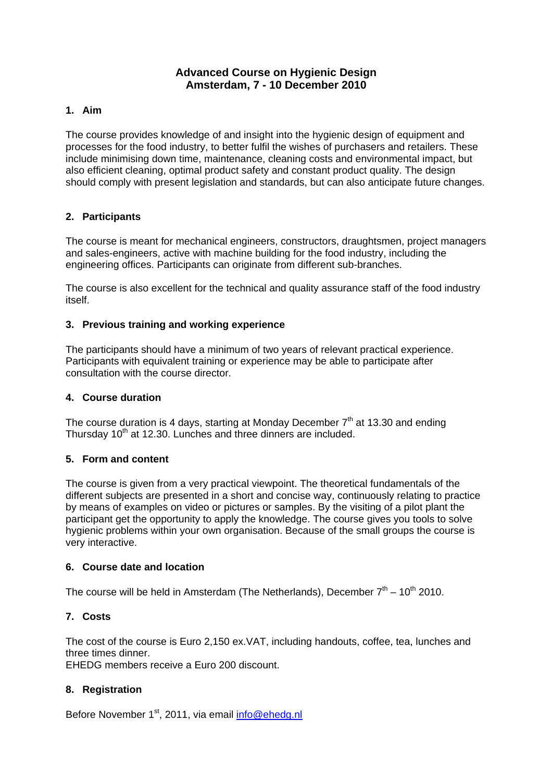# **Advanced Course on Hygienic Design Amsterdam, 7 - 10 December 2010**

### **1. Aim**

The course provides knowledge of and insight into the hygienic design of equipment and processes for the food industry, to better fulfil the wishes of purchasers and retailers. These include minimising down time, maintenance, cleaning costs and environmental impact, but also efficient cleaning, optimal product safety and constant product quality. The design should comply with present legislation and standards, but can also anticipate future changes.

## **2. Participants**

The course is meant for mechanical engineers, constructors, draughtsmen, project managers and sales-engineers, active with machine building for the food industry, including the engineering offices. Participants can originate from different sub-branches.

The course is also excellent for the technical and quality assurance staff of the food industry itself.

## **3. Previous training and working experience**

The participants should have a minimum of two years of relevant practical experience. Participants with equivalent training or experience may be able to participate after consultation with the course director.

#### **4. Course duration**

The course duration is 4 days, starting at Monday December  $7<sup>th</sup>$  at 13.30 and ending Thursday 10<sup>th</sup> at 12.30. Lunches and three dinners are included.

#### **5. Form and content**

The course is given from a very practical viewpoint. The theoretical fundamentals of the different subjects are presented in a short and concise way, continuously relating to practice by means of examples on video or pictures or samples. By the visiting of a pilot plant the participant get the opportunity to apply the knowledge. The course gives you tools to solve hygienic problems within your own organisation. Because of the small groups the course is very interactive.

#### **6. Course date and location**

The course will be held in Amsterdam (The Netherlands), December  $7<sup>th</sup> - 10<sup>th</sup> 2010$ .

# **7. Costs**

The cost of the course is Euro 2,150 ex.VAT, including handouts, coffee, tea, lunches and three times dinner.

EHEDG members receive a Euro 200 discount.

# **8. Registration**

Before November 1<sup>st</sup>, 2011, via email info@ehedg.nl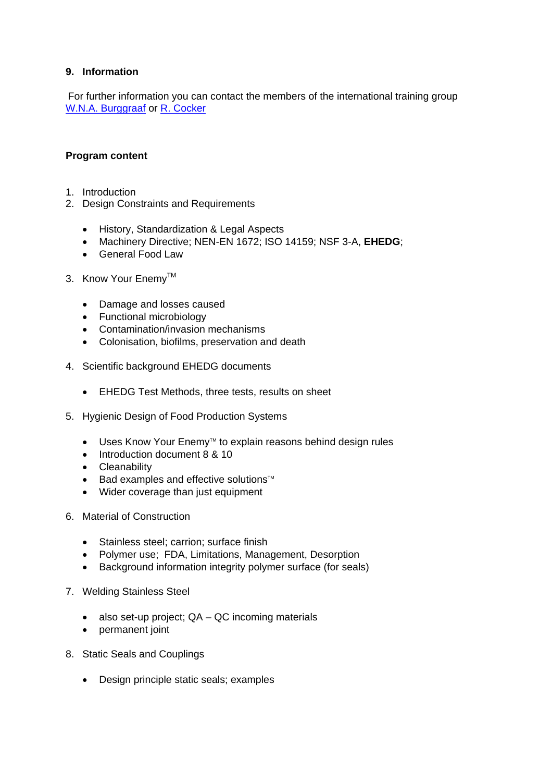### **9. Information**

For further information you can contact the members of the international training group W.N.A. Burggraaf or R. Cocker

#### **Program content**

- 1. Introduction
- 2. Design Constraints and Requirements
	- History, Standardization & Legal Aspects
	- Machinery Directive; NEN-EN 1672; ISO 14159; NSF 3-A, **EHEDG**;
	- General Food Law
- 3. Know Your Enemy<sup>™</sup>
	- Damage and losses caused
	- Functional microbiology
	- Contamination/invasion mechanisms
	- Colonisation, biofilms, preservation and death
- 4. Scientific background EHEDG documents
	- EHEDG Test Methods, three tests, results on sheet
- 5. Hygienic Design of Food Production Systems
	- Uses Know Your Enemy™ to explain reasons behind design rules
	- Introduction document 8 & 10
	- Cleanability
	- Bad examples and effective solutions<sup>™</sup>
	- Wider coverage than just equipment
- 6. Material of Construction
	- Stainless steel; carrion; surface finish
	- Polymer use; FDA, Limitations, Management, Desorption
	- Background information integrity polymer surface (for seals)
- 7. Welding Stainless Steel
	- also set-up project; QA QC incoming materials
	- permanent joint
- 8. Static Seals and Couplings
	- Design principle static seals; examples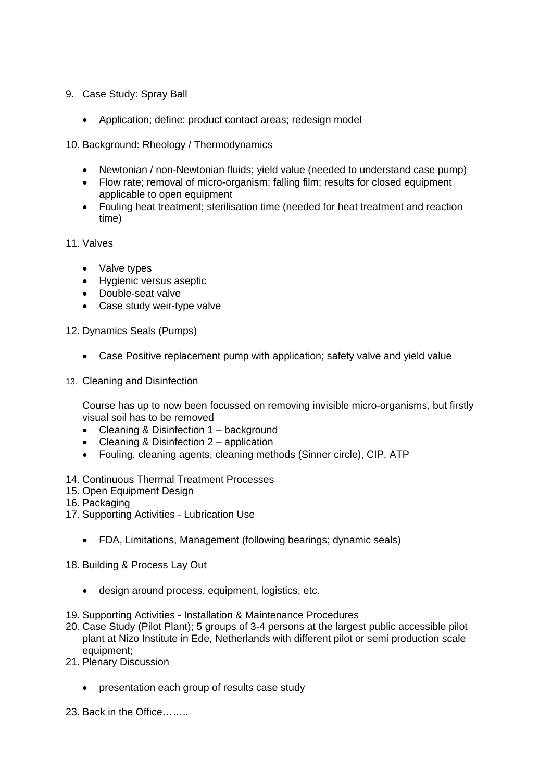- 9. Case Study: Spray Ball
	- Application; define: product contact areas; redesign model
- 10. Background: Rheology / Thermodynamics
	- Newtonian / non-Newtonian fluids; yield value (needed to understand case pump)
	- Flow rate; removal of micro-organism; falling film; results for closed equipment applicable to open equipment
	- Fouling heat treatment; sterilisation time (needed for heat treatment and reaction time)

11. Valves

- Valve types
- Hygienic versus aseptic
- Double-seat valve
- Case study weir-type valve

12. Dynamics Seals (Pumps)

- Case Positive replacement pump with application; safety valve and yield value
- 13. Cleaning and Disinfection

Course has up to now been focussed on removing invisible micro-organisms, but firstly visual soil has to be removed

- Cleaning & Disinfection 1 background
- Cleaning & Disinfection 2 application
- Fouling, cleaning agents, cleaning methods (Sinner circle), CIP, ATP
- 14. Continuous Thermal Treatment Processes
- 15. Open Equipment Design
- 16. Packaging
- 17. Supporting Activities Lubrication Use
	- FDA, Limitations, Management (following bearings; dynamic seals)
- 18. Building & Process Lay Out
	- design around process, equipment, logistics, etc.
- 19. Supporting Activities Installation & Maintenance Procedures
- 20. Case Study (Pilot Plant); 5 groups of 3-4 persons at the largest public accessible pilot plant at Nizo Institute in Ede, Netherlands with different pilot or semi production scale equipment;
- 21. Plenary Discussion
	- presentation each group of results case study
- 23. Back in the Office……..